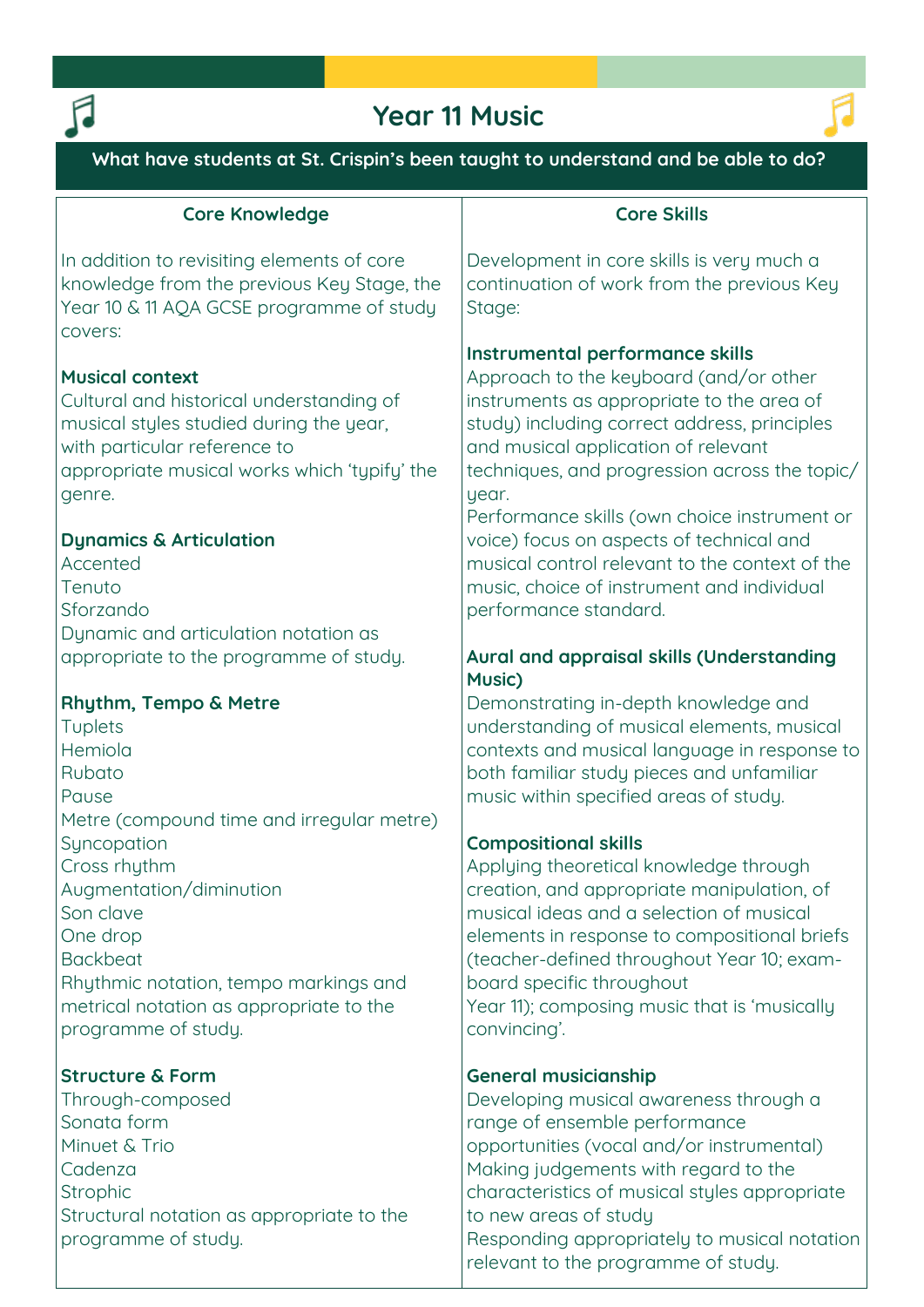

## **Year 11 Music**



**What have students at St. Crispin's been taught to understand and be able to do?**

## **Core Knowledge**

**In addition to revisiting elements of core knowledge from the previous Key Stage, the Year 10 & 11 AQA GCSE programme of study covers:**

## **Musical context**

**Cultural and historical understanding of musical styles studied during the year, with particular reference to appropriate musical works which 'typify' the genre.**

## **Dynamics & Articulation**

**Accented Tenuto Sforzando Dynamic and articulation notation as appropriate to the programme of study.**

## **Rhythm, Tempo & Metre**

**Tuplets Hemiola Rubato Pause Metre (compound time and irregular metre) Syncopation Cross rhythm Augmentation/diminution Son clave One drop Backbeat Rhythmic notation, tempo markings and metrical notation as appropriate to the programme of study.**

## **Structure & Form**

**Through-composed Sonata form Minuet & Trio Cadenza Strophic Structural notation as appropriate to the programme of study.**

## **Core Skills**

**Development in core skills is very much a continuation of work from the previous Key Stage:** 

## **Instrumental performance skills**

**Approach to the keyboard (and/or other instruments as appropriate to the area of study) including correct address, principles and musical application of relevant techniques, and progression across the topic/ year.**

**Performance skills (own choice instrument or voice) focus on aspects of technical and musical control relevant to the context of the music, choice of instrument and individual performance standard.**

## **Aural and appraisal skills (Understanding Music)**

**Demonstrating in-depth knowledge and understanding of musical elements, musical contexts and musical language in response to both familiar study pieces and unfamiliar music within specified areas of study.**

## **Compositional skills**

**Applying theoretical knowledge through creation, and appropriate manipulation, of musical ideas and a selection of musical elements in response to compositional briefs (teacher-defined throughout Year 10; examboard specific throughout Year 11); composing music that is 'musically convincing'.**

## **General musicianship**

**Developing musical awareness through a range of ensemble performance opportunities (vocal and/or instrumental) Making judgements with regard to the characteristics of musical styles appropriate to new areas of study Responding appropriately to musical notation relevant to the programme of study.**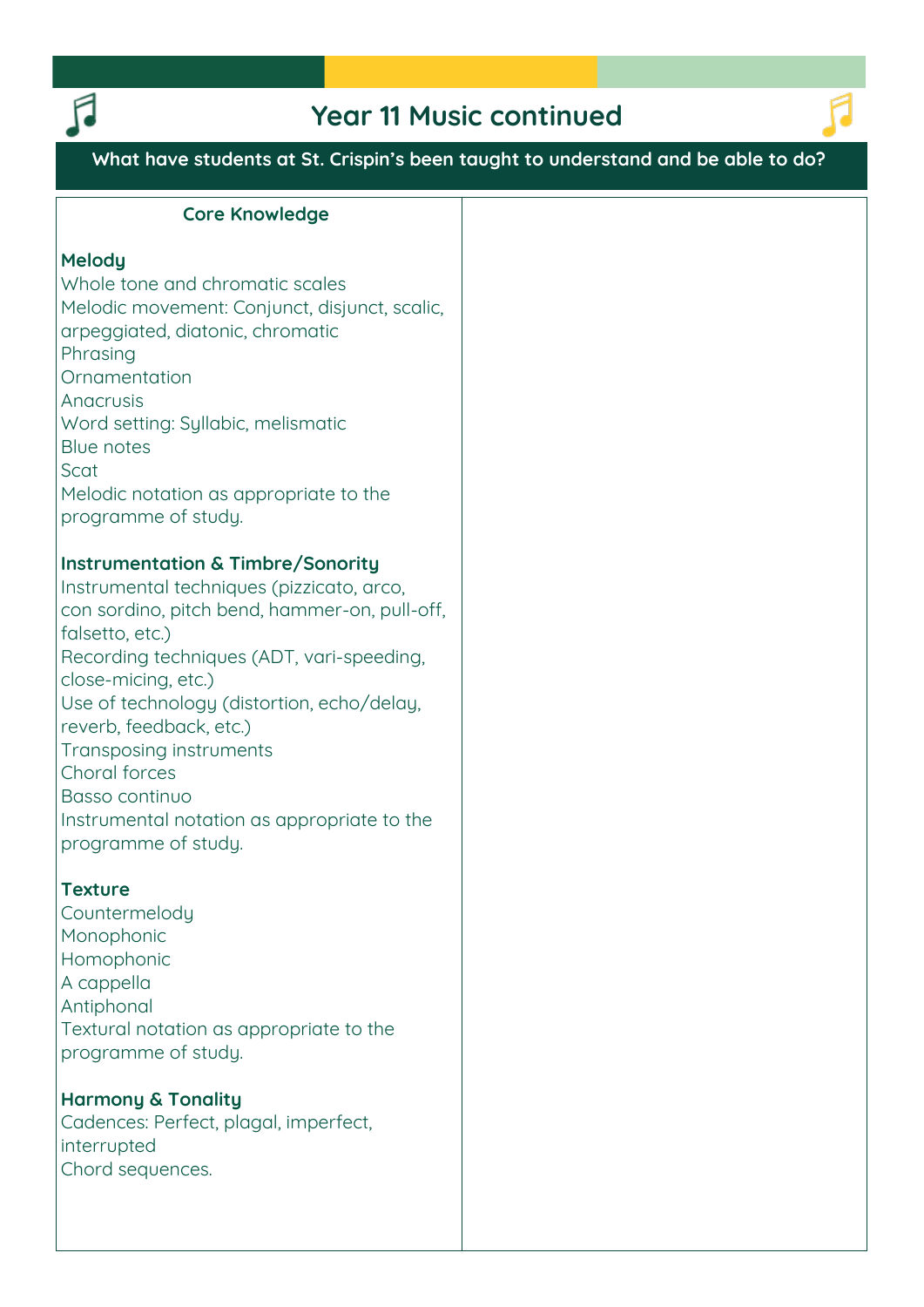

## **Year 11 Music continued**



## **What have students at St. Crispin's been taught to understand and be able to do?**

#### **Core Knowledge**

#### **Melody**

**Whole tone and chromatic scales Melodic movement: Conjunct, disjunct, scalic, arpeggiated, diatonic, chromatic Phrasing Ornamentation Anacrusis Word setting: Syllabic, melismatic Blue notes Scat Melodic notation as appropriate to the programme of study.**

#### **Instrumentation & Timbre/Sonority**

**Instrumental techniques (pizzicato, arco, con sordino, pitch bend, hammer-on, pull-off, falsetto, etc.) Recording techniques (ADT, vari-speeding, close-micing, etc.) Use of technology (distortion, echo/delay, reverb, feedback, etc.) Transposing instruments Choral forces Basso continuo Instrumental notation as appropriate to the programme of study.**

### **Texture**

**Countermelody Monophonic Homophonic A cappella Antiphonal Textural notation as appropriate to the programme of study.**

## **Harmony & Tonality**

**Cadences: Perfect, plagal, imperfect, interrupted Chord sequences.**